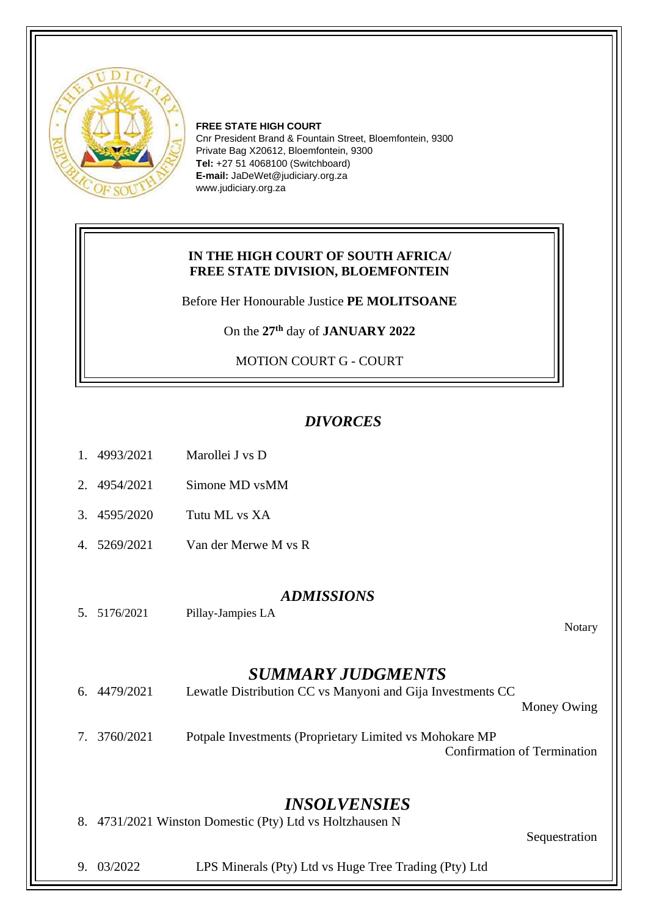

**FREE STATE HIGH COURT** Cnr President Brand & Fountain Street, Bloemfontein, 9300 Private Bag X20612, Bloemfontein, 9300 **Tel:** +27 51 4068100 (Switchboard) **E-mail:** JaDeWet@judiciary.org.za www.judiciary.org.za

## **IN THE HIGH COURT OF SOUTH AFRICA/ FREE STATE DIVISION, BLOEMFONTEIN**

Before Her Honourable Justice **PE MOLITSOANE**

On the **27th** day of **JANUARY 2022**

MOTION COURT G - COURT

## *DIVORCES*

| 1. 4993/2021 | Marollei J vs D |
|--------------|-----------------|
|              |                 |

- 2. 4954/2021 Simone MD vsMM
- 3. 4595/2020 Tutu ML vs XA
- 4. 5269/2021 Van der Merwe M vs R

## *ADMISSIONS*

5. 5176/2021 Pillay-Jampies LA

Notary

## *SUMMARY JUDGMENTS*

| 6. 4479/2021 | Lewatle Distribution CC vs Manyoni and Gija Investments CC<br>Money Owing                      |
|--------------|------------------------------------------------------------------------------------------------|
| 7. 3760/2021 | Potpale Investments (Proprietary Limited vs Mohokare MP)<br><b>Confirmation of Termination</b> |

*INSOLVENSIES*

8. 4731/2021 Winston Domestic (Pty) Ltd vs Holtzhausen N

Sequestration

9. 03/2022 LPS Minerals (Pty) Ltd vs Huge Tree Trading (Pty) Ltd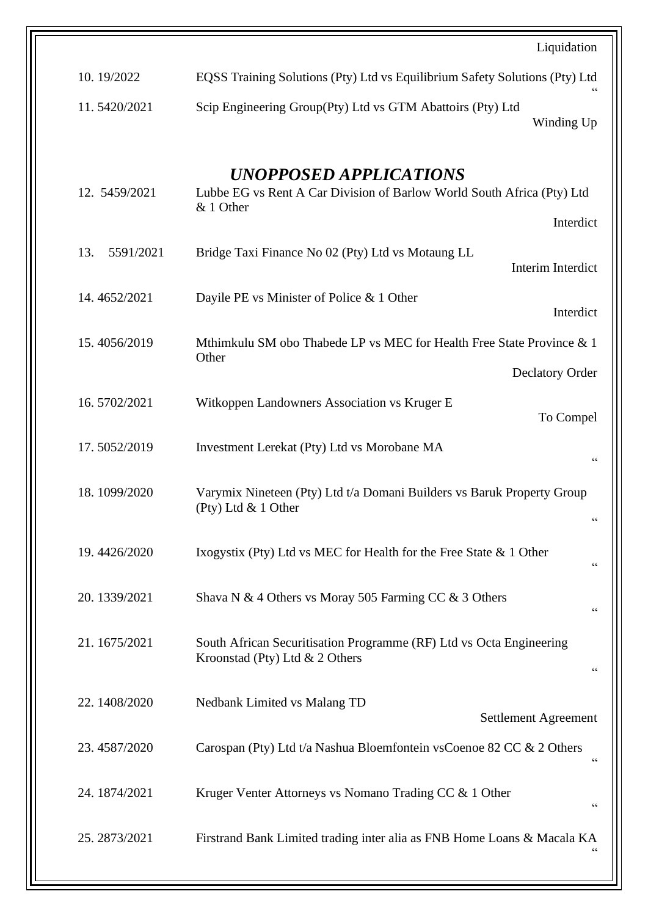|                  | Liquidation                                                                                                                                           |
|------------------|-------------------------------------------------------------------------------------------------------------------------------------------------------|
| 10.19/2022       | EQSS Training Solutions (Pty) Ltd vs Equilibrium Safety Solutions (Pty) Ltd                                                                           |
| 11.5420/2021     | Scip Engineering Group(Pty) Ltd vs GTM Abattoirs (Pty) Ltd<br>Winding Up                                                                              |
| 12. 5459/2021    | UNOPPOSED APPLICATIONS<br>Lubbe EG vs Rent A Car Division of Barlow World South Africa (Pty) Ltd<br>& 1 Other<br>Interdict                            |
| 13.<br>5591/2021 | Bridge Taxi Finance No 02 (Pty) Ltd vs Motaung LL<br>Interim Interdict                                                                                |
| 14.4652/2021     | Dayile PE vs Minister of Police $& 1$ Other<br>Interdict                                                                                              |
| 15.4056/2019     | Mthimkulu SM obo Thabede LP vs MEC for Health Free State Province & 1<br>Other<br><b>Declatory Order</b>                                              |
| 16.5702/2021     | Witkoppen Landowners Association vs Kruger E<br>To Compel                                                                                             |
| 17.5052/2019     | Investment Lerekat (Pty) Ltd vs Morobane MA<br>$\!\!\!\zeta\,\zeta\!\!\!\zeta\!\!\!\zeta$                                                             |
| 18.1099/2020     | Varymix Nineteen (Pty) Ltd t/a Domani Builders vs Baruk Property Group<br>(Pty) Ltd $& 1$ Other<br>66                                                 |
| 19.4426/2020     | Ixogystix (Pty) Ltd vs MEC for Health for the Free State & 1 Other<br>66                                                                              |
| 20.1339/2021     | Shava N & 4 Others vs Moray 505 Farming CC & 3 Others<br>$\!\!\!\zeta\,\zeta\!\!\!\zeta\!\!\!\zeta$                                                   |
| 21.1675/2021     | South African Securitisation Programme (RF) Ltd vs Octa Engineering<br>Kroonstad (Pty) Ltd $& 2$ Others<br>$\!\!\!\zeta\,\zeta\!\!\!\zeta\!\!\!\zeta$ |
| 22.1408/2020     | Nedbank Limited vs Malang TD<br>Settlement Agreement                                                                                                  |
| 23.4587/2020     | Carospan (Pty) Ltd t/a Nashua Bloemfontein vsCoenoe 82 CC & 2 Others<br>$\mbox{\bf G}$                                                                |
| 24.1874/2021     | Kruger Venter Attorneys vs Nomano Trading CC & 1 Other<br>$\textsf{G}\,\textsf{G}$                                                                    |
| 25.2873/2021     | Firstrand Bank Limited trading inter alia as FNB Home Loans & Macala KA                                                                               |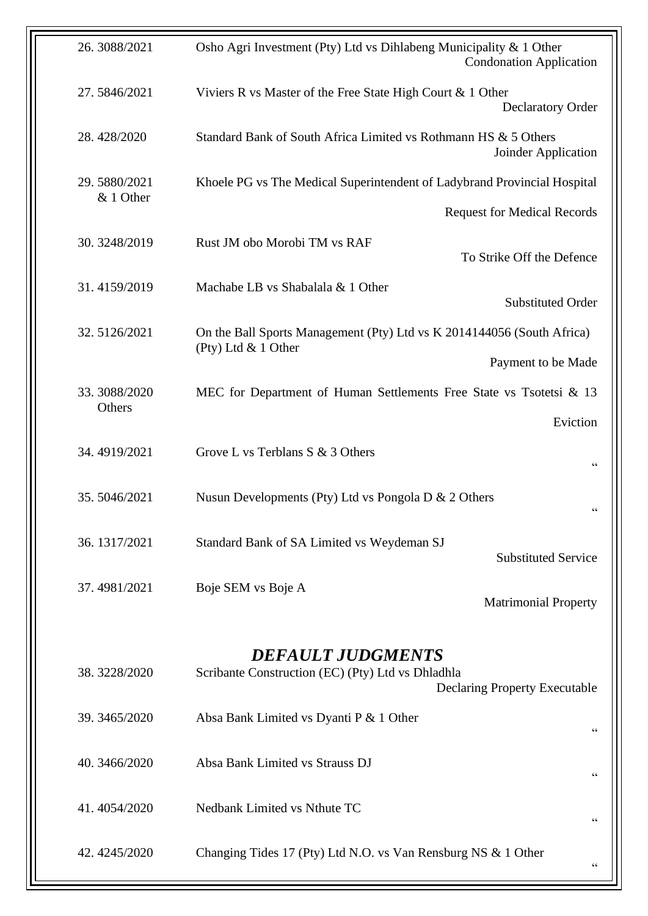| 26.3088/2021           | Osho Agri Investment (Pty) Ltd vs Dihlabeng Municipality & 1 Other<br><b>Condonation Application</b>                  |
|------------------------|-----------------------------------------------------------------------------------------------------------------------|
| 27.5846/2021           | Viviers R vs Master of the Free State High Court & 1 Other<br><b>Declaratory Order</b>                                |
| 28.428/2020            | Standard Bank of South Africa Limited vs Rothmann HS & 5 Others<br>Joinder Application                                |
| 29.5880/2021           | Khoele PG vs The Medical Superintendent of Ladybrand Provincial Hospital                                              |
| & 1 Other              | <b>Request for Medical Records</b>                                                                                    |
| 30.3248/2019           | Rust JM obo Morobi TM vs RAF<br>To Strike Off the Defence                                                             |
| 31.4159/2019           | Machabe LB vs Shabalala & 1 Other<br><b>Substituted Order</b>                                                         |
| 32.5126/2021           | On the Ball Sports Management (Pty) Ltd vs K 2014144056 (South Africa)<br>(Pty) Ltd & 1 Other                         |
|                        | Payment to be Made                                                                                                    |
| 33.3088/2020<br>Others | MEC for Department of Human Settlements Free State vs Tsotetsi & 13                                                   |
|                        | Eviction                                                                                                              |
| 34.4919/2021           | Grove L vs Terblans S & 3 Others<br>$\zeta$ $\zeta$                                                                   |
| 35.5046/2021           | Nusun Developments (Pty) Ltd vs Pongola D $& 2$ Others<br>$\mbox{\bf G}$                                              |
| 36.1317/2021           | Standard Bank of SA Limited vs Weydeman SJ<br><b>Substituted Service</b>                                              |
| 37.4981/2021           | Boje SEM vs Boje A<br><b>Matrimonial Property</b>                                                                     |
|                        |                                                                                                                       |
| 38.3228/2020           | <b>DEFAULT JUDGMENTS</b><br>Scribante Construction (EC) (Pty) Ltd vs Dhladhla<br><b>Declaring Property Executable</b> |
| 39.3465/2020           | Absa Bank Limited vs Dyanti P & 1 Other<br>66                                                                         |
| 40.3466/2020           | Absa Bank Limited vs Strauss DJ<br>66                                                                                 |
| 41.4054/2020           | Nedbank Limited vs Nthute TC<br>66                                                                                    |
| 42.4245/2020           | Changing Tides 17 (Pty) Ltd N.O. vs Van Rensburg NS & 1 Other<br>66                                                   |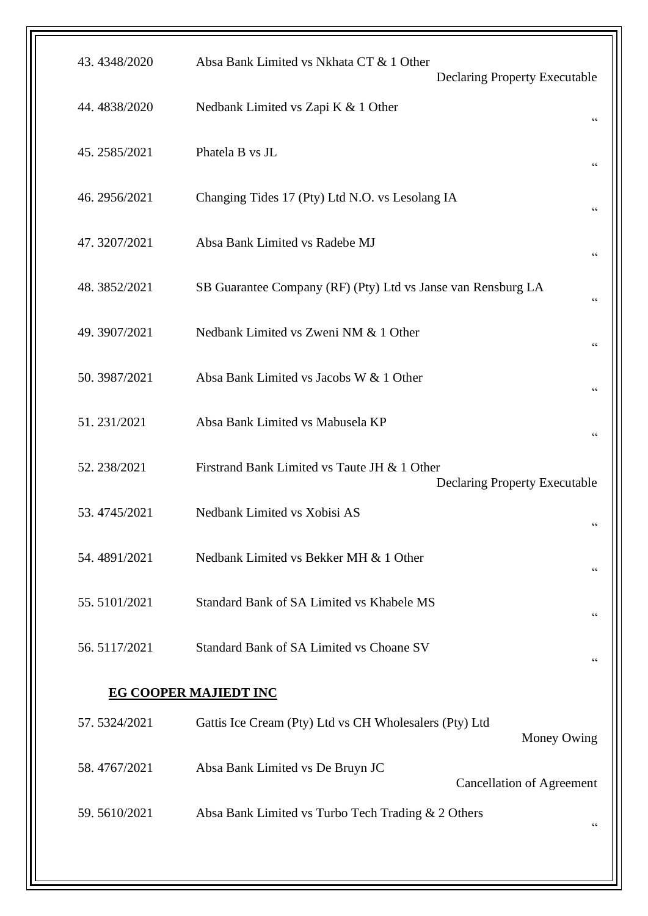| 43.4348/2020                 | Absa Bank Limited vs Nkhata CT & 1 Other<br><b>Declaring Property Executable</b>     |  |  |
|------------------------------|--------------------------------------------------------------------------------------|--|--|
| 44.4838/2020                 | Nedbank Limited vs Zapi K & 1 Other<br>$\zeta$ $\zeta$                               |  |  |
| 45.2585/2021                 | Phatela B vs JL                                                                      |  |  |
| 46.2956/2021                 | Changing Tides 17 (Pty) Ltd N.O. vs Lesolang IA<br>$\zeta \zeta$                     |  |  |
| 47.3207/2021                 | Absa Bank Limited vs Radebe MJ<br>$\zeta$ $\zeta$                                    |  |  |
| 48.3852/2021                 | SB Guarantee Company (RF) (Pty) Ltd vs Janse van Rensburg LA<br>66                   |  |  |
| 49.3907/2021                 | Nedbank Limited vs Zweni NM & 1 Other<br>66                                          |  |  |
| 50.3987/2021                 | Absa Bank Limited vs Jacobs W & 1 Other                                              |  |  |
| 51.231/2021                  | Absa Bank Limited vs Mabusela KP<br>66                                               |  |  |
| 52.238/2021                  | Firstrand Bank Limited vs Taute JH & 1 Other<br><b>Declaring Property Executable</b> |  |  |
| 53.4745/2021                 | Nedbank Limited vs Xobisi AS<br>66                                                   |  |  |
| 54.4891/2021                 | Nedbank Limited vs Bekker MH & 1 Other<br>66                                         |  |  |
| 55.5101/2021                 | Standard Bank of SA Limited vs Khabele MS                                            |  |  |
| 56.5117/2021                 | Standard Bank of SA Limited vs Choane SV<br>66                                       |  |  |
| <b>EG COOPER MAJIEDT INC</b> |                                                                                      |  |  |
| 57.5324/2021                 | Gattis Ice Cream (Pty) Ltd vs CH Wholesalers (Pty) Ltd<br>Money Owing                |  |  |
| 58.4767/2021                 | Absa Bank Limited vs De Bruyn JC<br><b>Cancellation of Agreement</b>                 |  |  |
| 59.5610/2021                 | Absa Bank Limited vs Turbo Tech Trading & 2 Others<br>66                             |  |  |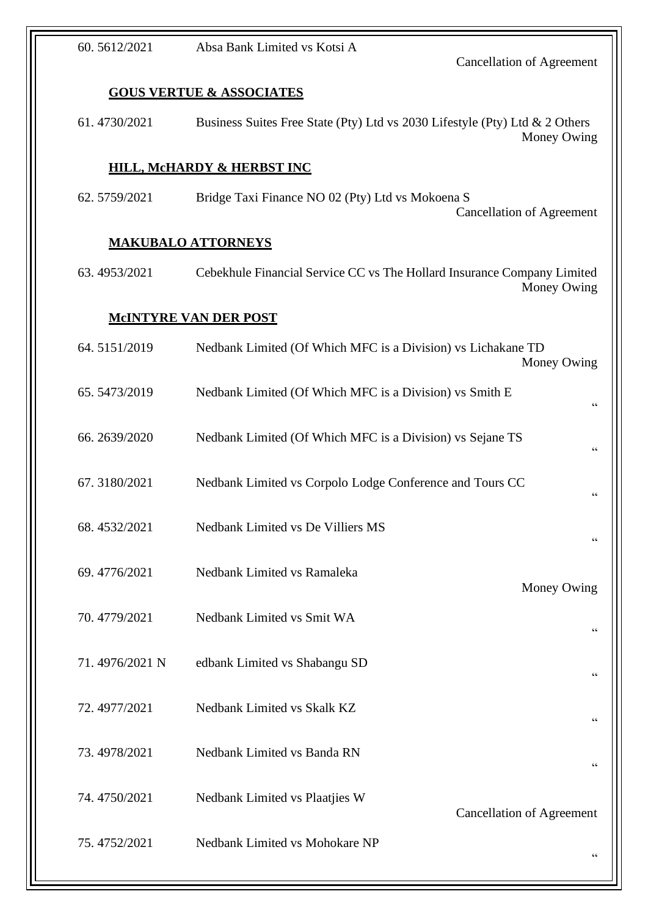| 60.5612/2021   | Absa Bank Limited vs Kotsi A                                                | <b>Cancellation of Agreement</b> |
|----------------|-----------------------------------------------------------------------------|----------------------------------|
|                | <b>GOUS VERTUE &amp; ASSOCIATES</b>                                         |                                  |
| 61.4730/2021   | Business Suites Free State (Pty) Ltd vs 2030 Lifestyle (Pty) Ltd & 2 Others | Money Owing                      |
|                | <b>HILL, MCHARDY &amp; HERBST INC</b>                                       |                                  |
| 62.5759/2021   | Bridge Taxi Finance NO 02 (Pty) Ltd vs Mokoena S                            | <b>Cancellation of Agreement</b> |
|                | <b>MAKUBALO ATTORNEYS</b>                                                   |                                  |
| 63.4953/2021   | Cebekhule Financial Service CC vs The Hollard Insurance Company Limited     | Money Owing                      |
|                | <b>MCINTYRE VAN DER POST</b>                                                |                                  |
| 64.5151/2019   | Nedbank Limited (Of Which MFC is a Division) vs Lichakane TD                | Money Owing                      |
| 65.5473/2019   | Nedbank Limited (Of Which MFC is a Division) vs Smith E                     | 66                               |
| 66.2639/2020   | Nedbank Limited (Of Which MFC is a Division) vs Sejane TS                   | 66                               |
| 67.3180/2021   | Nedbank Limited vs Corpolo Lodge Conference and Tours CC                    | $\zeta$ $\zeta$                  |
| 68.4532/2021   | Nedbank Limited vs De Villiers MS                                           | 66                               |
| 69.4776/2021   | Nedbank Limited vs Ramaleka                                                 | Money Owing                      |
| 70.4779/2021   | Nedbank Limited vs Smit WA                                                  | 66                               |
| 71.4976/2021 N | edbank Limited vs Shabangu SD                                               | 66                               |
| 72.4977/2021   | Nedbank Limited vs Skalk KZ                                                 | 66                               |
| 73.4978/2021   | Nedbank Limited vs Banda RN                                                 | $\zeta\,\zeta$                   |
| 74.4750/2021   | Nedbank Limited vs Plaatjies W                                              | <b>Cancellation of Agreement</b> |
| 75.4752/2021   | Nedbank Limited vs Mohokare NP                                              | 66                               |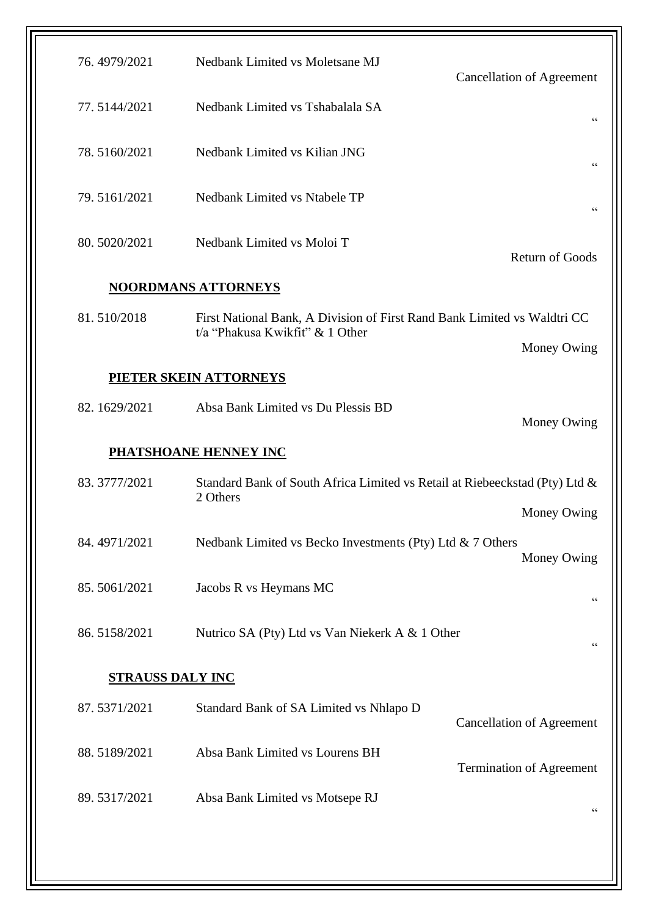| 76.4979/2021            | Nedbank Limited vs Moletsane MJ                                                                             | <b>Cancellation of Agreement</b> |  |
|-------------------------|-------------------------------------------------------------------------------------------------------------|----------------------------------|--|
| 77.5144/2021            | Nedbank Limited vs Tshabalala SA                                                                            | 66                               |  |
| 78.5160/2021            | Nedbank Limited vs Kilian JNG                                                                               | 66                               |  |
| 79.5161/2021            | Nedbank Limited vs Ntabele TP                                                                               | $\zeta \zeta$                    |  |
| 80.5020/2021            | Nedbank Limited vs Moloi T                                                                                  | <b>Return of Goods</b>           |  |
|                         | <b>NOORDMANS ATTORNEYS</b>                                                                                  |                                  |  |
| 81.510/2018             | First National Bank, A Division of First Rand Bank Limited vs Waldtri CC<br>t/a "Phakusa Kwikfit" & 1 Other | Money Owing                      |  |
|                         | PIETER SKEIN ATTORNEYS                                                                                      |                                  |  |
| 82.1629/2021            | Absa Bank Limited vs Du Plessis BD                                                                          | Money Owing                      |  |
|                         | <b>PHATSHOANE HENNEY INC</b>                                                                                |                                  |  |
| 83.3777/2021            | Standard Bank of South Africa Limited vs Retail at Riebeeckstad (Pty) Ltd &<br>2 Others                     |                                  |  |
| 84.4971/2021            | Nedbank Limited vs Becko Investments (Pty) Ltd & 7 Others                                                   | Money Owing<br>Money Owing       |  |
| 85.5061/2021            | Jacobs R vs Heymans MC                                                                                      | 66                               |  |
| 86.5158/2021            | Nutrico SA (Pty) Ltd vs Van Niekerk A & 1 Other                                                             | $\mbox{\bf G}$                   |  |
| <b>STRAUSS DALY INC</b> |                                                                                                             |                                  |  |
| 87.5371/2021            | Standard Bank of SA Limited vs Nhlapo D                                                                     | <b>Cancellation of Agreement</b> |  |
| 88.5189/2021            | Absa Bank Limited vs Lourens BH                                                                             | Termination of Agreement         |  |
| 89.5317/2021            | Absa Bank Limited vs Motsepe RJ                                                                             | 66                               |  |
|                         |                                                                                                             |                                  |  |